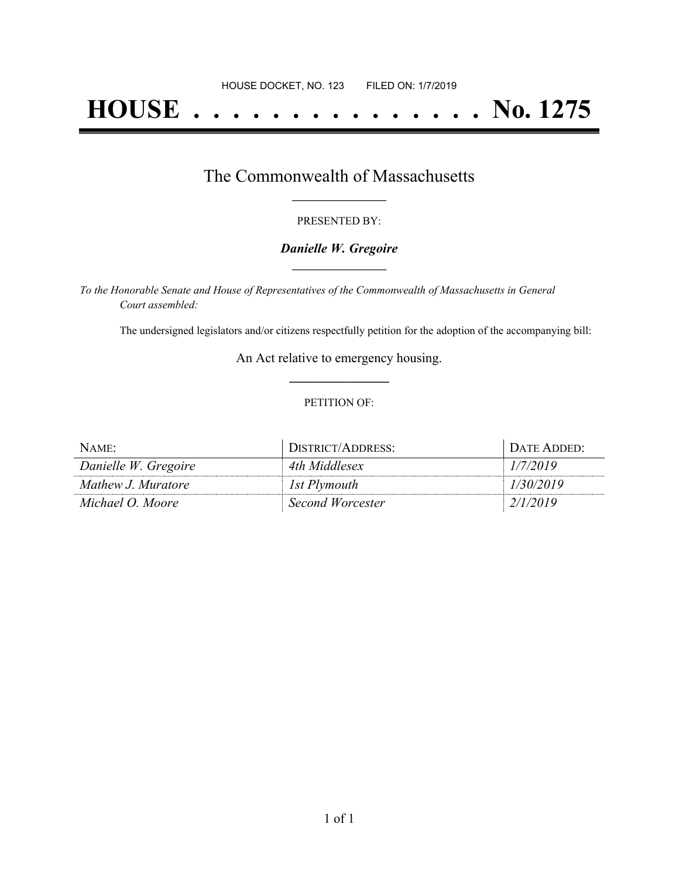# **HOUSE . . . . . . . . . . . . . . . No. 1275**

## The Commonwealth of Massachusetts **\_\_\_\_\_\_\_\_\_\_\_\_\_\_\_\_\_**

#### PRESENTED BY:

#### *Danielle W. Gregoire* **\_\_\_\_\_\_\_\_\_\_\_\_\_\_\_\_\_**

*To the Honorable Senate and House of Representatives of the Commonwealth of Massachusetts in General Court assembled:*

The undersigned legislators and/or citizens respectfully petition for the adoption of the accompanying bill:

An Act relative to emergency housing. **\_\_\_\_\_\_\_\_\_\_\_\_\_\_\_**

#### PETITION OF:

| NAME:                | DISTRICT/ADDRESS:       | DATE ADDED: |
|----------------------|-------------------------|-------------|
| Danielle W. Gregoire | 4th Middlesex           | 1/7/2019    |
| Mathew J. Muratore   | 1st Plymouth            | 1/30/2019   |
| Michael O. Moore     | <b>Second Worcester</b> | 2/1/2019    |